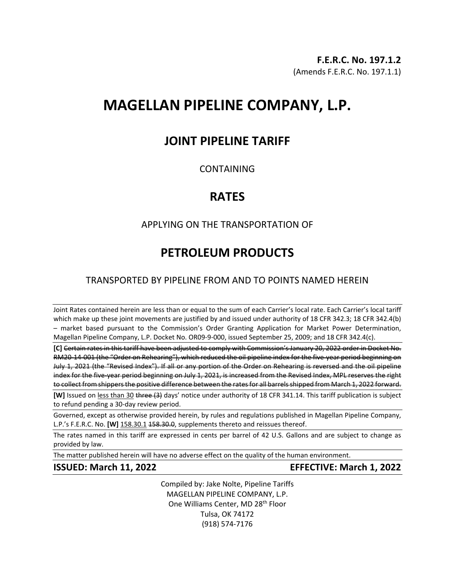# **MAGELLAN PIPELINE COMPANY, L.P.**

# **JOINT PIPELINE TARIFF**

## **CONTAINING**

# **RATES**

# APPLYING ON THE TRANSPORTATION OF

# **PETROLEUM PRODUCTS**

# TRANSPORTED BY PIPELINE FROM AND TO POINTS NAMED HEREIN

Joint Rates contained herein are less than or equal to the sum of each Carrier's local rate. Each Carrier's local tariff which make up these joint movements are justified by and issued under authority of 18 CFR 342.3; 18 CFR 342.4(b) – market based pursuant to the Commission's Order Granting Application for Market Power Determination, Magellan Pipeline Company, L.P. Docket No. OR09-9-000, issued September 25, 2009; and 18 CFR 342.4(c).

**[C]** Certain rates in this tariff have been adjusted to comply with Commission's January 20, 2022 order in Docket No. RM20-14-001 (the "Order on Rehearing"), which reduced the oil pipeline index for the five-year period beginning on July 1, 2021 (the "Revised Index"). If all or any portion of the Order on Rehearing is reversed and the oil pipeline index for the five-year period beginning on July 1, 2021, is increased from the Revised Index, MPL reserves the right to collect from shippers the positive difference between the rates for all barrels shipped from March 1, 2022 forward.

**[W]** Issued on less than 30 three (3) days' notice under authority of 18 CFR 341.14. This tariff publication is subject to refund pending a 30-day review period.

Governed, except as otherwise provided herein, by rules and regulations published in Magellan Pipeline Company, L.P.'s F.E.R.C. No. **[W]** 158.30.1 158.30.0, supplements thereto and reissues thereof.

The rates named in this tariff are expressed in cents per barrel of 42 U.S. Gallons and are subject to change as provided by law.

The matter published herein will have no adverse effect on the quality of the human environment.

**ISSUED: March 11, 2022 EFFECTIVE: March 1, 2022**

Compiled by: Jake Nolte, Pipeline Tariffs MAGELLAN PIPELINE COMPANY, L.P. One Williams Center, MD 28<sup>th</sup> Floor Tulsa, OK 74172 (918) 574-7176